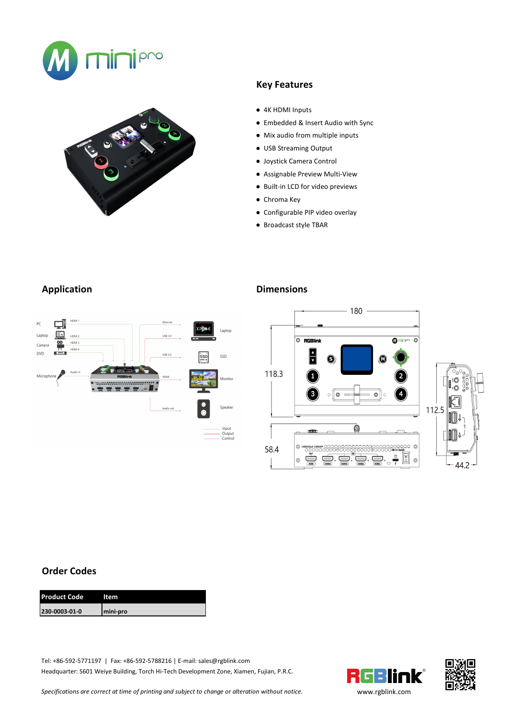



## **Key Features**

- 4K HDMI Inputs
- Embedded & Insert Audio with Sync
- Mix audio from multiple inputs
- USB Streaming Output
- Joystick Camera Control
- Assignable Preview Multi-View
- Built-in LCD for video previews
- Chroma Key
- Configurable PIP video overlay
- Broadcast style TBAR

# **Application Dimensions**





### **Order Codes**

| <b>Product Code</b><br>Item |
|-----------------------------|
| 230-0003-01-0<br>mini-pro   |

Tel: +86-592-5771197 | Fax: +86-592-5788216 | E-mail: sales@rgblink.com Headquarter: S601 Weiye Building, Torch Hi-Tech Development Zone, Xiamen, Fujian, P.R.C.





*Specifications are correctat time of printing and subject to change or alteration without notice.* [www.rgblink.c](http://www.rgblink.com)om